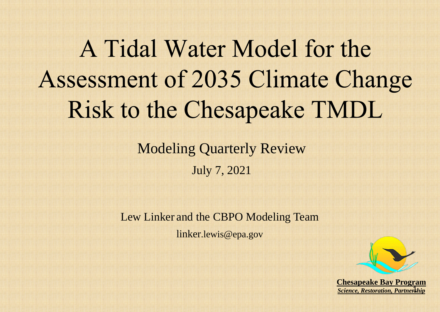## A Tidal Water Model for the Assessment of 2035 Climate Change Risk to the Chesapeake TMDL

## Modeling Quarterly Review

July 7, 2021





Lew Linker and the CBPO Modeling Team linker.lewis@epa.gov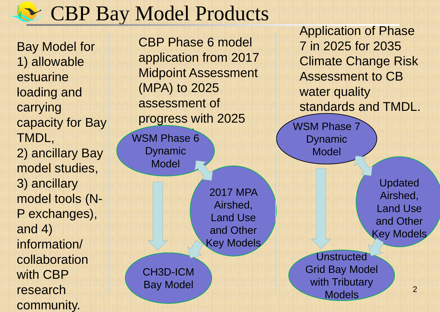2017 MPA Airshed, Land Use and Other Key Models

### CBP Bay Model Products

. Bay Model for 1) allowable estuarine loading and carrying capacity for Bay TMDL, 2) ancillary Bay model studies, 3) ancillary model tools (N-P exchanges), and 4) information/ collaboration with CBP research community.

JSM Phase 6 WSM Phase 6 Dynamic Model

CBP Phase 6 model application from 2017 Midpoint Assessment (MPA) to 2025 assessment of progress with 2025

### Application of Phase 7 in 2025 for 2035 Climate Change Risk Assessment to CB standards and TMDL.

2

Unstructed Grid Bay Model with Tributary Models

Updated Airshed, Land Use and Other Key Models

### CH3D-ICM Bay Model

WSM Phase 7 Dynamic Model water quality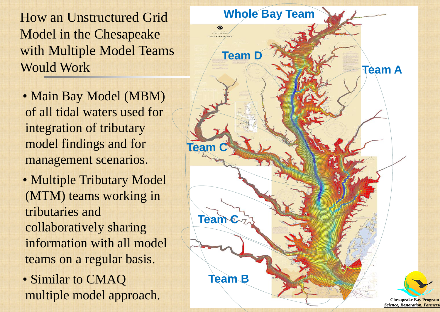How an Unstructured Grid Model in the Chesapeake with Multiple Model Teams Would Work

• Main Bay Model (MBM) of all tidal waters used for integration of tributary model findings and for management scenarios. • Multiple Tributary Model (MTM) teams working in tributaries and collaboratively sharing information with all model teams on a regular basis. • Similar to CMAQ multiple model approach.

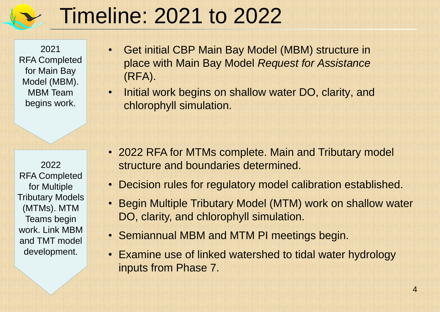## 10 2022 Timeline: 2021 to 2022

2021 RFA Completed for Main Bay Model (MBM). MBM Team begins work.

### 2022

RFA Completed for Multiple Tributary Models (MTMs). MTM Teams begin work. Link MBM and TMT model development.

• Get initial CBP Main Bay Model (MBM) structure in place with Main Bay Model *Request for Assistance*  (RFA).

• Initial work begins on shallow water DO, clarity, and chlorophyll simulation.

• 2022 RFA for MTMs complete. Main and Tributary model structure and boundaries determined. • Decision rules for regulatory model calibration established. • Begin Multiple Tributary Model (MTM) work on shallow water DO, clarity, and chlorophyll simulation. • Semiannual MBM and MTM PI meetings begin. • Examine use of linked watershed to tidal water hydrology inputs from Phase 7.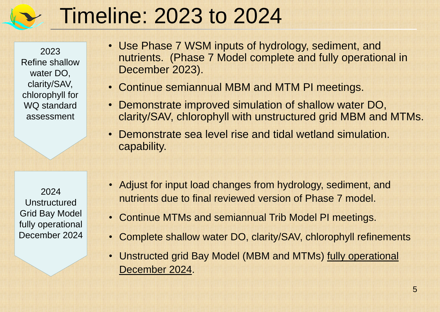• Adjust for input load changes from hydrology, sediment, and nutrients due to final reviewed version of Phase 7 model. • Continue MTMs and semiannual Trib Model PI meetings. • Complete shallow water DO, clarity/SAV, chlorophyll refinements • Unstructed grid Bay Model (MBM and MTMs) fully operational

## 12 Timeline: 2023 to 2024

2023 Refine shallow water DO, clarity/SAV, chlorophyll for WQ standard assessment

### 2024

Unstructured Grid Bay Model fully operational December 2024

- December 2023).
- -
	- capability.
	- December 2024.

• Use Phase 7 WSM inputs of hydrology, sediment, and nutrients. (Phase 7 Model complete and fully operational in

• Continue semiannual MBM and MTM PI meetings. • Demonstrate improved simulation of shallow water DO, clarity/SAV, chlorophyll with unstructured grid MBM and MTMs. • Demonstrate sea level rise and tidal wetland simulation.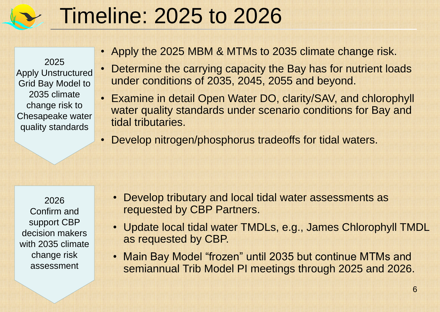• Apply the 2025 MBM & MTMs to 2035 climate change risk. • Determine the carrying capacity the Bay has for nutrient loads under conditions of 2035, 2045, 2055 and beyond. • Examine in detail Open Water DO, clarity/SAV, and chlorophyll water quality standards under scenario conditions for Bay and tidal tributaries.

Apply Unstructured Grid Bay Model to 2035 climate change risk to Chesapeake water quality standards

• Develop nitrogen/phosphorus tradeoffs for tidal waters.

## 10 Timeline: 2025 to 2026

### 2025

### 2026

Confirm and support CBP decision makers with 2035 climate change risk assessment

• Develop tributary and local tidal water assessments as requested by CBP Partners. • Update local tidal water TMDLs, e.g., James Chlorophyll TMDL as requested by CBP. • Main Bay Model "frozen" until 2035 but continue MTMs and semiannual Trib Model PI meetings through 2025 and 2026.